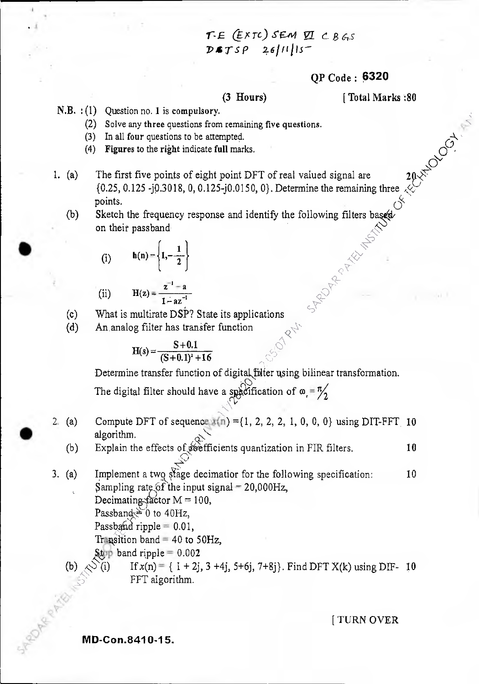# *?crc) SEIw* E ( *B64 psysp*

### QP Code: 6320

(3 Hours) [ Total Marks :80

- N.B. : (1) Question no. 1 is compulsory.
	- (2) Solve any three questions from remaining five questions.
	- (3) In all four questions to be attempted.
	- (4) Figures to the right indicate full marks.
- 1. (a) The first five points of eight point DFT of real valued signal are 2  ${0.25, 0.125 -}$   ${0.3018, 0, 0.125 -}$  ${0.0150, 0}$ . Determine the remaining three points. 20-1-02 OCT-1
	- (b) Sketch the frequency response and identify the following filters on their passband

(i) 
$$
h(n) = \left\{1, -\frac{1}{2}\right\}
$$

(ii) 
$$
H(z) = \frac{z^{-1} - a}{1 - az^{-1}}
$$

(c) What is multirate DSF? State its applications

(d) An analog filter has transfer function

$$
H(s) = \frac{S+0.1}{(S+0.1)^2+16}
$$

Determine transfer function of digital\fulter using bilinear transformation.

 $\leq \epsilon$  $\Diamond$  .

 $\mathcal{O}$ The digital filter should have a specification of  $\omega =$ 

2. (a) Compute DFT of sequence  $f(n) = \{1, 2, 2, 2, 1, 0, 0, 0\}$  using DIT-FFT 10 algorithm.<br>(b) Explain th

Explain the effects of  $\delta \theta$  efficients quantization in FIR filters.  $10$ 

- 3. (a) Implement a two stage decimatior for the following specification:  $10$ Sampling rate of the input signal  $= 20,000$ Hz, Decimating factor  $M = 100$ , Passband  $\geq 0$  to 40Hz, Passband ripple  $= 0.01$ , Transition band = 40 to 50Hz,
	- Stop band ripple =  $0.002$ <br> *S*(i) If  $x(n) = \{1 + 2i\}$ If  $x(n) = \{ 1 + 2j, 3 + 4j, 5 + 6j, 7 + 8j \}$ . Find DFT  $X(k)$  using DIF- 10 FFT algorithm.

t TURN OVER

**IVID-Con.841 0-15.**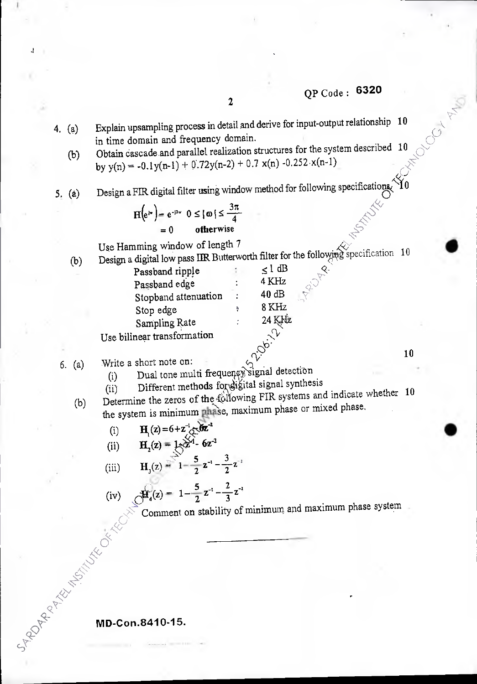OCCI AT

•

- Explain upsampling process in detail and derive for input-output relationship 10 in time domain and frequency domain. 4  $(a)$ in time domain and frequency domain.
	- In time domain and nequency domain.<br>Obtain cascade and parallel realization structures for the system described  $10\degree$  $(b)$ by  $y(n) = -0.1y(n-1) + 0.72y(n-2) + 0.7 x(n) -0.252 x(n-1)$  $\mathcal{C}^\mathcal{C}$
- 5! (a) Design a FIR digital filter using window method for following specifications.  $10$

|       | $H(e^{j\pi}) = e^{-j3\pi}$ $0 \leq  \omega  \leq \frac{3\pi}{4}$ |  |
|-------|------------------------------------------------------------------|--|
| $= 0$ | otherwise                                                        |  |

Use Hamming window of length 7

= 0 otherwise<br>window of length 7<br>low pass IIR Butterworth filter for the following specification 10 (b) Design a digital low pass IIR Butterworth filter for the following

| Passband ripple             | $\leq$ l dB |    |
|-----------------------------|-------------|----|
| Passband edge               | 4 KHz       |    |
| Stopband attenuation        | 40 dB       |    |
| Stop edge                   | 8 KHz       |    |
| Sampling Rate               | 24 KHz      |    |
| Use bilinear transformation | $\sqrt{V}$  |    |
| Write a short note on:      |             | 10 |

 $6.$  (a) Write a short note on:

- (i) Dual tone multi frequency signal detection
- (ii) Different methods for digital signal synthesis
- (b) Determine the zeros of the  $f\ddot{\hat{o}}$ llowing FIR systems and indicate whether 10 the system is minimum phase, maximum phase or mixed phase.
	- (i)  $H_1(z) = 6 + z^{-1} \cos^2 2\pi^2$

(ii) 
$$
H_2(z) = 1 + \frac{\sqrt{3}}{2} - 6z^{-2}
$$

(iii) 
$$
H_3(z) = 1 - \frac{5}{2}z^{-1} - \frac{3}{2}z^{-1}
$$

(iv) 
$$
\oint_{4}^{4}(z) = 1 - \frac{5}{2}z^{-1} - \frac{2}{3}z^{-2}
$$
  
Comment on stability of minimum and maximum phase system

 $\sum_{i=1}^n$ 

**MD-Con.8410-15.** 

 $\delta^{\!\chi}$  $\hat{\mathcal{X}}$ 

 $\mathbb{Z}^n$  $\ll$  .

**q-** $\mathcal{C}^{\chi}_{\mathcal{N}_{\mathcal{C}}}$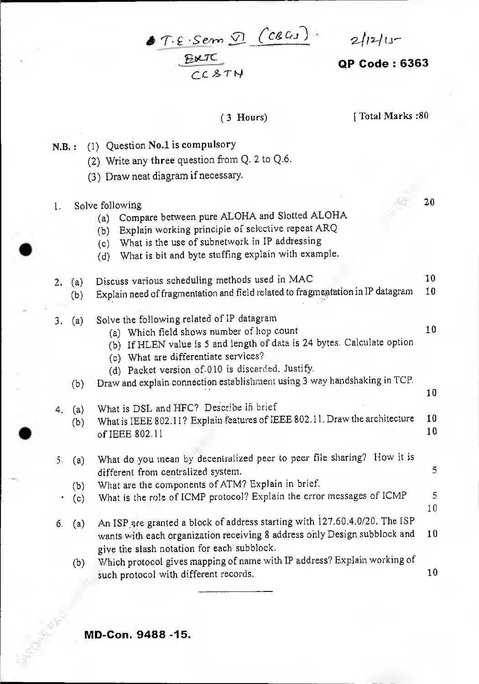# **OP Code: 6363**

 $f: \varepsilon$ . Sem  $\Omega$   $(c$   $c_{i,j})$   $2|12|15$  $CCA$ 

(3 Hours) [ Total Marks :80

N.B. : (1) Question No.1 is compulsory

•

- (2) Write any three question from Q. 2 to Q.6.
- (3) Draw neat diagram if necessary.
- 1. Solve following 20 (a) Compare between pure ALOHA and Slotted ALOHA (b) Explain working principle of selective repeat ARQ (c) What is the use of subnetwork in IP addressing (d) What is bit and byte stuffing explain with example. 2. (a) Discuss various scheduling methods used in MAC 10<br>(b) Explain need of fragmentation and field related to fragmentation in IP datagram 10 (b) Explain need of fragmentation and field related to fragmentation in IP datagram 3. (a) Solve the following related of IP datagram (a) Which field shows number of hop count 10 (b) If HLEN value is 5 and length of data is 24 bytes. Calculate option (c) What are differentiate services? (d) Packet version of-010 is discarded. Justify, (b) Draw and explain connection establishment using 3 way handshaking in TCP, 4. (a) What is DSL and HFC? Describe in brief (b) What is IEEE 802.11? Explain features of IEEE 802.11. Draw the architecture  $10$ <br>of IEEE 802.11 of IEEE 802.11 5. (a) What do you mean by decentralized peer to peer file sharing? How it is different from centralized system. 5 (b) What are the components of ATM? Explain in brief.  $\cdot$  (c) What is the role of ICMP protocol? Explain the error messages of ICMP  $\qquad$  5 10 6. (a) An ISP.are granted a block of address starting with 127.60.4.0/20. The ISP wants with each organization receiving 8 address only Design subblock and 10 give the slash notation for each subblock. (b) Which protocol gives mapping of name with IF address? Explain working of such protocol with different records. 10 10

**MD-Con. 9488 -15.**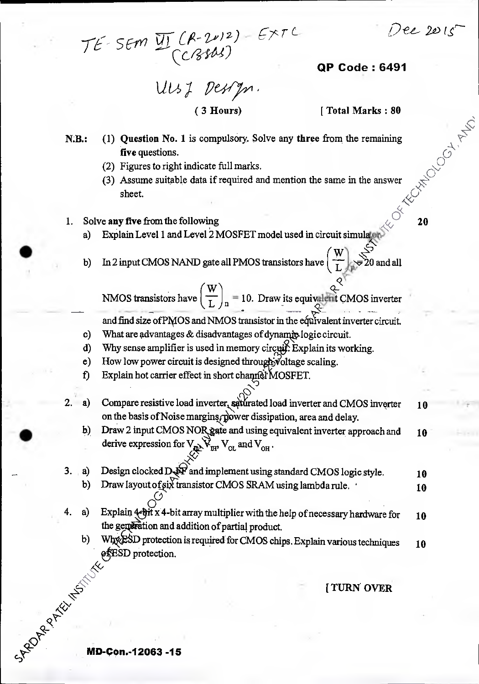*i) -et 2A) IC* 

 $\mathcal{S}% _{M_{1},M_{2}}^{\alpha,\beta}(\varepsilon)=\mathcal{S}_{M_{1},M_{2}}^{\alpha,\beta}(\varepsilon)$ 

*r7c <sup>r</sup>SErl ( P-v)z) cciird-4)* 

**QP Code : 6491** 

*Lit/s7 PW7m,* 

( 3 Hours) [ Total Marks : 80

- N.B.: (1) Question No. 1 is compulsory. Solve any three from the remaining \?-- **Five** questions.  $\mathbb{C}$ 
	-
	- (2) Figures to right indicate full marks.<br>(3) Assume suitable data if required and mention the same in the answer sheet.
- 
- ack 1. Solve **any five** from the following **c 20 c** 20 **c** 20 **c** 20 **c** 20 **c** 20 **c** 20 **c** 20 **c** 20 **c** 20 **c** 20 **c** 20 **c** 20 **c** 20 **c** 20 **c** 20 **c** 20 **c** 20 **c** 20 **c** 20 **c** 20 **c** 20 **c** 20 **c** 20 **c** 20 **c**
- b) In 2 input CMOS NAND gate all PMOS transistors have  $\begin{pmatrix} 1 \\ 1 \end{pmatrix}$  $\mathbf{w}$   $\mathbf{z}^{\circ}$ b) In 2 input CMOS NAND gate all PMOS transistors have  $\frac{1}{1}$

 $\mathbb{R}^{\mathcal{Q}}$ *(w Q---* NMOS transistors have —L n = 10. Draw its equiv4it CMOS inverter 4- r and find size ofPMOS and NMOS transistor in the eiFavalent inverter circuit.

- c) What are advantages & disadvantages of dynamic logic circuit.
- d) Why sense amplifier is used in memory circuit. Explain its working.
- e) How low power circuit is designed through voltage scaling.
- f) Explain hot carrier effect in short channel MOSFET.
- *<sup>J</sup>-1,0*  2. a) Compare resistive load inverter, saturated load inverter and CMOS inverter 10 on the basis of Noise marging, power dissipation, area and delay.
	- b) Draw 2 input CMOS NOR gate and using equivalent inverter approach and  $10$ derive expression for  $V_{\text{Q\&}}\vec{V}_{\text{H}1}$ ,  $V_{\text{OL}}$  and  $V_{\text{OH}}$ .

 $\mathbb{N}^*$  .

- $\mathfrak{S}^{\!\!\times\!\!\times}$  $\sim$  3. (a) Design clocked D  $_{\odot}$  and implement using standard CMOS logic style. 10 b) Draw layout of six transistor CMOS SRAM using lambda rule.  $\cdot$ 10
	- 4. a) Explain  $\leftarrow$   $\frac{1}{2}$  x 4-bit array multiplier with the help of necessary hardware for the generation and addition of partial product. 10
		- b) Whx ESD protection is required for CMOS chips. Explain various techniques &SD protection. 10

**[ TURN OVER** 

**MD-Con.-12063 -15** 

**154°** 

**4)1** 

**g-**

**•**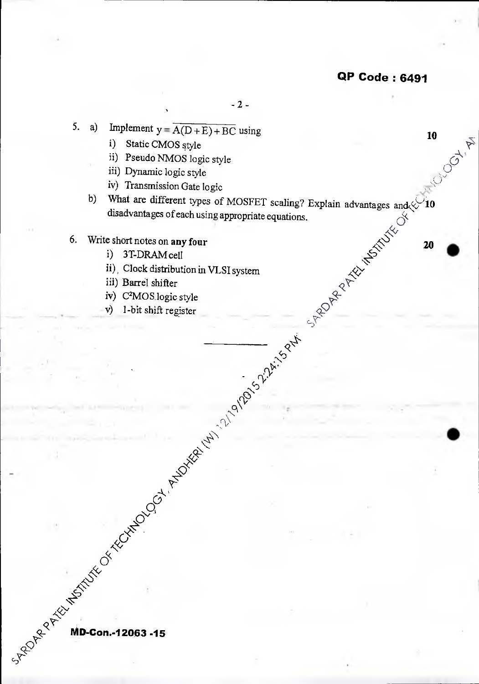•

**10 A A A** 

 $\sim$  2 -

- 5. a) Implement  $y = \overline{A(D+E) + BC}$  using
	- i) Static CMOS style
	- ii) Pseudo NMOS logic style
	- iii) Dynamic logic style
	- iv) Transmission Gate logic
	- advantages and  $\&$  10  $\mathcal{O}^{\mathcal{C}}$ b) What are different types of MOSFET scaling? Explain disadvantages of each using appropriate equations.
- 6. Write short notes on any four
	- i) 3T-DRAM cell
	- ii), Clock distribution in VLSI system
	- iii) Barrel shifter

**MD-con.-12063 -15** 

- iv)  $C^2MOS$  logic style  $C^2$
- v) 1-bit shift register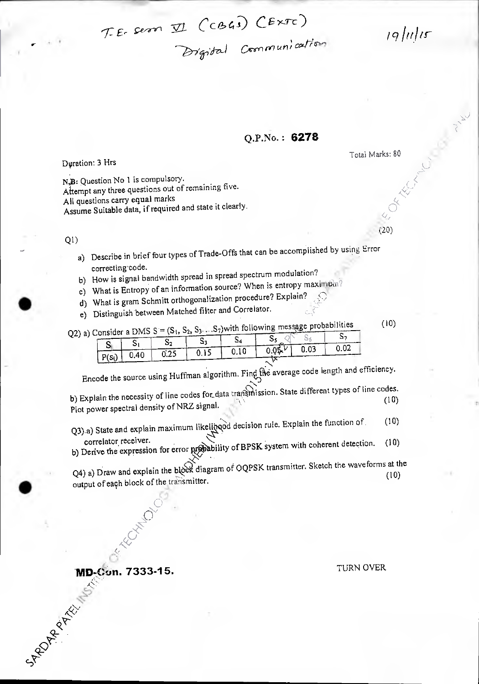$T.E.$  sern  $\Pi$  (CBGs)  $CExTc$ )

*191tritr* 

Total Marks: 80

 $(20)$ 

# Q.P.No• **6278**

 $\sim$ 

*—7)7/ri7ti Cron no urp; awri ,* 

Dyration: 3 Hrs

N, B: Question No 1 is compulsory. Attempt any three questions out of remaining five. All questions carry equal marks Assume Suitable data, if required and state it clearly.

Q1)

- a) Describe in brief four types of Trade-Offs that can be accomplished by using Error correcting code.
- b) How is signal bandwidth spread in spread spectrum modulation?
- c) What is Entropy of an information source? When is entropy maximum?
- d) What is gram Schmitt orthogonalization procedure? Explain?
- e) Distinguish between Matched filter and Correlator.

Q2) a) Consider a DMS S =  $(S_1, S_2, S_3...S_7)$  with following message probabilities (10) Si S<sub>1</sub> S<sub>1</sub> S<sub>2</sub> S<sub>3</sub> S<sub>4</sub> S<sub>5</sub>  $\sqrt{S_6}$  S<sub>5</sub> S<sub>7</sub>  $\frac{6}{P(s_1)}$  0.40 6.25 0.15 0.10 0.05<sup>kV</sup> 0.03 0.02

:N. Encode the source using Huffman algorithm. Find the average code length and efficiency.<br>  $\bigcirc$ 

b) Explain the necessity of line codes for data transmission. State different types of the codes.<br>(10) Plot power spectral density of NRZ signal.

 $Q3$ ) a) State and explain maximum likelihood decision rule. Explain the function of (10)<br>correlator receiver.

correlator, receiver.<br>b) Derive the expression for error probability of BPSK system with coherent detection. (10)

 $\sum_{n=1}^{\infty}$  to  $\sum_{n=1}^{\infty}$  transmitter. Sketch the waveforms at the Q4) a) Draw and explain the blook diagram of OQPSK transmitter. Sketch the waveforms at the Q<sub>10</sub> output of each block of the transmitter.

# **MD-Con. 7333-15. TURN OVER AN PROPERTY ASSESS**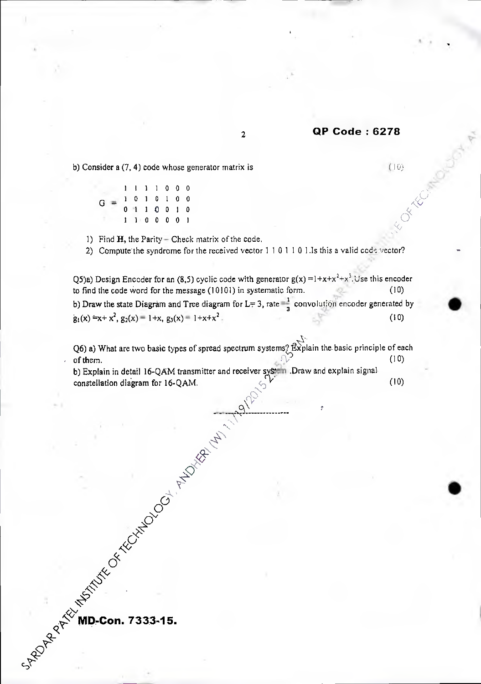### <sup>2</sup>**OP Code : 6278**

b) Consider a  $(7, 4)$  code whose generator matrix is  $(10)$ 

1 1 1 1 0 0 0  $G = \begin{bmatrix} 1 & 0 & 1 & 0 & 1 & 0 & 0 \\ 0 & 1 & 1 & 0 & 0 & 1 & 0 \\ 0 & 0 & 0 & 0 & 0 & 0 & 0 \\ 0 & 0 & 0 & 0 & 0 & 0 & 0 \\ 0 & 0 & 0 & 0 & 0 & 0 & 0 \\ 0 & 0 & 0 & 0 & 0 & 0 & 0 \\ 0 & 0 & 0 & 0 & 0 & 0 & 0 \\ 0 & 0 & 0 & 0 & 0 & 0 & 0 \\ 0 & 0 & 0 & 0 & 0 & 0 & 0 \\ 0 & 0 & 0 & 0 & 0 & 0 & 0 & 0$ 0 -1 1 0 0 1 0  $\begin{matrix} 0 & 1 & 1 & 0 & 0 & 1 & 0 \\ 1 & 1 & 0 & 0 & 0 & 0 & 1 \end{matrix}$ 

1) Find  $H$ , the Parity – Check matrix of the code.

2) Compute the syndrome for the received vector  $1 1 0 1 1 0 1.1s$  this a valid code vector?

Q5)a) Design Encoder for an (8,5) cyclic code with generator  $g(x) = 1 + x + x^2 + x^3$ . Use this encoder to find the code Word for the message (10101) in systematic form. (10) b) Draw the state Diagram and Tree diagram for L= 3, rate  $=\frac{1}{3}$  convolution encoder generated by  $g_1(x) = x + x^2$ ,  $g_2(x) = 1+x$ ,  $g_3(x) = 1+x+x^2$ . (10)

Q6) a) What are two basic types of spread spectrum systems?  $\mathbb{R}$  is via the basic principle of each (10) of them.  $(10)$ 

b) Explain in detail 16-QAM transmitter and receiver system .Draw and explain signal constallation diagram for 15 O AM. constellation diagram for  $16-QAM$ . (10)

مالوسيلا.

—<br>।<br>।

 $\mathcal{A}_\lambda$ 

 $z_{\rm x}$  .

 $\mathcal{O}^{\mathcal{O}}$ 

 $\hat{\sim}$ 

**D-Con. 7333-15.** 

**cpt.** 

OF THE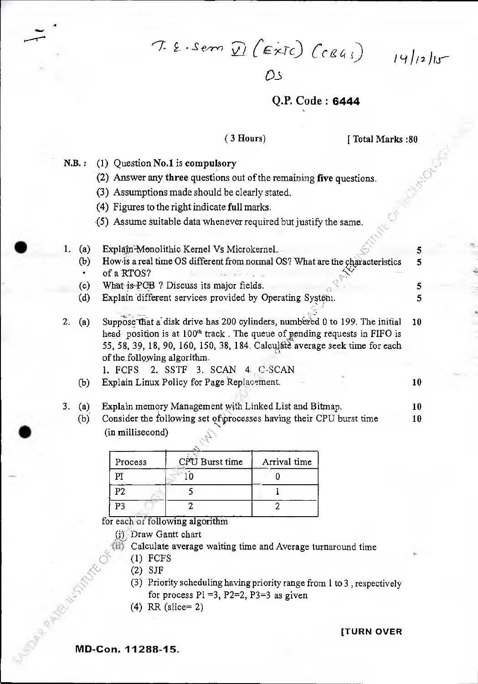$T.E.S. sem D(Extc) (c841)$   $19/12/15$ 

 $\bigcap$ 

# Q.P. Code: **6444**

### (3 Hours) [ Total Marks :80

 $\lesssim$ 

 $N.B.: (1)$  Question No.1 is compulsory

**.4** 

- (2) Answer any three questions out of the remaining five questions.
- (3) Assumptions made should be clearly stated.
- (4) Figures to the right indicate full marks.
- .(5) Assume suitable data whenever required but justify the same.

### 1. (a) Explain-Monolithic Kernel Vs Microkernel. 5 (b) How is a real time OS different from normal OS? What are the characteristics  $\overline{5}$ of a RTOS? • (c) What is-PCB ? Discuss its major fields. 5 (d) Explain different services provided by Operating System. 5

- 2. (a) Suppose that a disk drive has 200 cylinders, numbered 0 to 199. The initial 10 head position is at 100<sup>th</sup> track. The queue of pending requests in FIFO is 55, 58, 39, 18, 90, 160, 150, 38, 184. Calculate average seek time for each of the following algorithm.
	- 1. FCFS 2. SSTF 3. SCAN 4. C-SCAN
	- (b) Explain Linux Policy for Page Replacement.  $\qquad 10$
- 3. (a) Explain memory Management with Linked List and Bitmap. **10** 
	- (b) Consider the following set of processes having their CPU burst time (in millisecond) 10

| Process | CPU Burst time | Arrival time |
|---------|----------------|--------------|
|         |                |              |
| Pク      |                |              |
|         |                |              |

for each of following algorithm

Draw Gantt chart

- Calculate average waiting time and Average turnaround time
	-
	- (2) SJF
- Calculate<br>
(1) FCFS<br>
(2) SJF<br>
(3) r<br>
(3) r (3) Priority scheduling having priority range from 1 to 3, respectively for process  $Pi = 3$ ,  $P2=2$ ,  $P3=3$  as given
	- (4) RR (slice= 2)

**[TURN OVER** 

**MD-Con. 11288-15.**